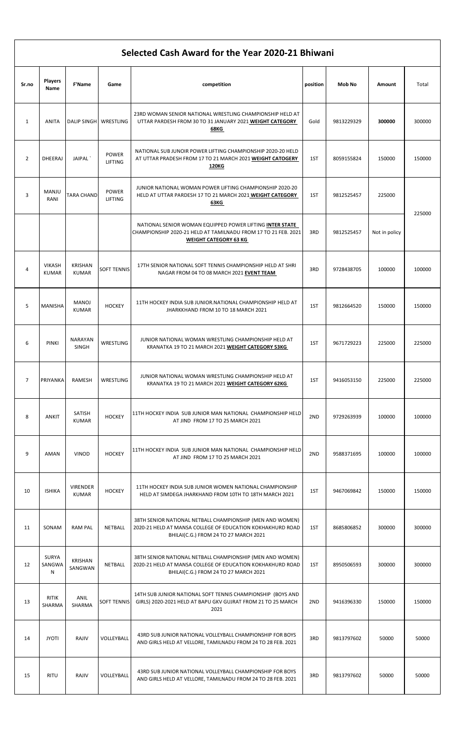## Selected Cash Award for the Year 2020-21 Bhiwani

|              | <b>Players</b>                |                                 |                         |                                                                                                                                                                  |          |            |               |        |
|--------------|-------------------------------|---------------------------------|-------------------------|------------------------------------------------------------------------------------------------------------------------------------------------------------------|----------|------------|---------------|--------|
| Sr.no        | Name                          | <b>F'Name</b>                   | Game                    | competition                                                                                                                                                      | position | Mob No     | Amount        | Total  |
| $\mathbf{1}$ | <b>ANITA</b>                  | DALIP SINGH WRESTLING           |                         | 23RD WOMAN SENIOR NATIONAL WRESTLING CHAMPIONSHIP HELD AT<br>UTTAR PARDESH FROM 30 TO 31 JANUARY 2021 WEIGHT CATEGORY<br>68KG                                    | Gold     | 9813229329 | 300000        | 300000 |
| 2            | <b>DHEERAJ</b>                | JAIPAL                          | <b>POWER</b><br>LIFTING | NATIONAL SUB JUNOIR POWER LIFTING CHAMPIONSHIP 2020-20 HELD<br>AT UTTAR PRADESH FROM 17 TO 21 MARCH 2021 WEIGHT CATOGERY<br>120KG                                | 1ST      | 8059155824 | 150000        | 150000 |
| 3            | MANJU<br>RANI                 | <b>TARA CHAND</b>               | <b>POWER</b><br>LIFTING | JUNIOR NATIONAL WOMAN POWER LIFTING CHAMPIONSHIP 2020-20<br>HELD AT UTTAR PARDESH 17 TO 21 MARCH 2021 WEIGHT CATEGORY<br>63KG                                    | 1ST      | 9812525457 | 225000        |        |
|              |                               |                                 |                         | NATIONAL SENIOR WOMAN EQUIPPED POWER LIFTING INTER STATE<br>CHAMPIONSHIP 2020-21 HELD AT TAMILNADU FROM 17 TO 21 FEB. 2021<br><b>WEIGHT CATEGORY 63 KG</b>       | 3RD      | 9812525457 | Not in policy | 225000 |
| 4            | <b>VIKASH</b><br><b>KUMAR</b> | <b>KRISHAN</b><br><b>KUMAR</b>  | <b>SOFT TENNIS</b>      | 17TH SENIOR NATIONAL SOFT TENNIS CHAMPIONSHIP HELD AT SHRI<br>NAGAR FROM 04 TO 08 MARCH 2021 EVENT TEAM                                                          | 3RD      | 9728438705 | 100000        | 100000 |
| 5            | MANISHA                       | <b>MANOJ</b><br><b>KUMAR</b>    | <b>HOCKEY</b>           | 11TH HOCKEY INDIA SUB JUNIOR. NATIONAL CHAMPIONSHIP HELD AT<br>JHARKKHAND FROM 10 TO 18 MARCH 2021                                                               | 1ST      | 9812664520 | 150000        | 150000 |
| 6            | <b>PINKI</b>                  | NARAYAN<br><b>SINGH</b>         | WRESTLING               | JUNIOR NATIONAL WOMAN WRESTLING CHAMPIONSHIP HELD AT<br>KRANATKA 19 TO 21 MARCH 2021 WEIGHT CATEGORY 53KG                                                        | 1ST      | 9671729223 | 225000        | 225000 |
| 7            | PRIYANKA                      | RAMESH                          | WRESTLING               | JUNIOR NATIONAL WOMAN WRESTLING CHAMPIONSHIP HELD AT<br>KRANATKA 19 TO 21 MARCH 2021 WEIGHT CATEGORY 62KG                                                        | 1ST      | 9416053150 | 225000        | 225000 |
| 8            | ANKIT                         | SATISH<br><b>KUMAR</b>          | <b>HOCKEY</b>           | 11TH HOCKEY INDIA SUB JUNIOR MAN NATIONAL CHAMPIONSHIP HELD<br>AT JIND FROM 17 TO 25 MARCH 2021                                                                  | 2ND      | 9729263939 | 100000        | 100000 |
| 9            | <b>AMAN</b>                   | <b>VINOD</b>                    | <b>HOCKEY</b>           | 11TH HOCKEY INDIA SUB JUNIOR MAN NATIONAL CHAMPIONSHIP HELD<br>AT JIND FROM 17 TO 25 MARCH 2021                                                                  | 2ND      | 9588371695 | 100000        | 100000 |
| 10           | <b>ISHIKA</b>                 | <b>VIRENDER</b><br><b>KUMAR</b> | <b>HOCKEY</b>           | 11TH HOCKEY INDIA SUB JUNIOR WOMEN NATIONAL CHAMPIONSHIP<br>HELD AT SIMDEGA JHARKHAND FROM 10TH TO 18TH MARCH 2021                                               | 1ST      | 9467069842 | 150000        | 150000 |
| 11           | SONAM                         | <b>RAM PAL</b>                  | NETBALL                 | 38TH SENIOR NATIONAL NETBALL CHAMPIONSHIP (MEN AND WOMEN)<br>2020-21 HELD AT MANSA COLLEGE OF EDUCATION KOKHAKHURD ROAD<br>BHILAI(C.G.) FROM 24 TO 27 MARCH 2021 | 1ST      | 8685806852 | 300000        | 300000 |
| 12           | <b>SURYA</b><br>SANGWA<br>N   | <b>KRISHAN</b><br>SANGWAN       | NETBALL                 | 38TH SENIOR NATIONAL NETBALL CHAMPIONSHIP (MEN AND WOMEN)<br>2020-21 HELD AT MANSA COLLEGE OF EDUCATION KOKHAKHURD ROAD<br>BHILAI(C.G.) FROM 24 TO 27 MARCH 2021 | 1ST      | 8950506593 | 300000        | 300000 |
| 13           | <b>RITIK</b><br>SHARMA        | ANIL<br>SHARMA                  | <b>SOFT TENNIS</b>      | 14TH SUB JUNIOR NATIONAL SOFT TENNIS CHAMPIONSHIP (BOYS AND<br>GIRLS) 2020-2021 HELD AT BAPU GKV GUJRAT FROM 21 TO 25 MARCH<br>2021                              | 2ND      | 9416396330 | 150000        | 150000 |
| 14           | <b>JYOTI</b>                  | RAJIV                           | VOLLEYBALL              | 43RD SUB JUNIOR NATIONAL VOLLEYBALL CHAMPIONSHIP FOR BOYS<br>AND GIRLS HELD AT VELLORE, TAMILNADU FROM 24 TO 28 FEB. 2021                                        | 3RD      | 9813797602 | 50000         | 50000  |
| 15           | RITU                          | RAJIV                           | VOLLEYBALL              | 43RD SUB JUNIOR NATIONAL VOLLEYBALL CHAMPIONSHIP FOR BOYS<br>AND GIRLS HELD AT VELLORE, TAMILNADU FROM 24 TO 28 FEB. 2021                                        | 3RD      | 9813797602 | 50000         | 50000  |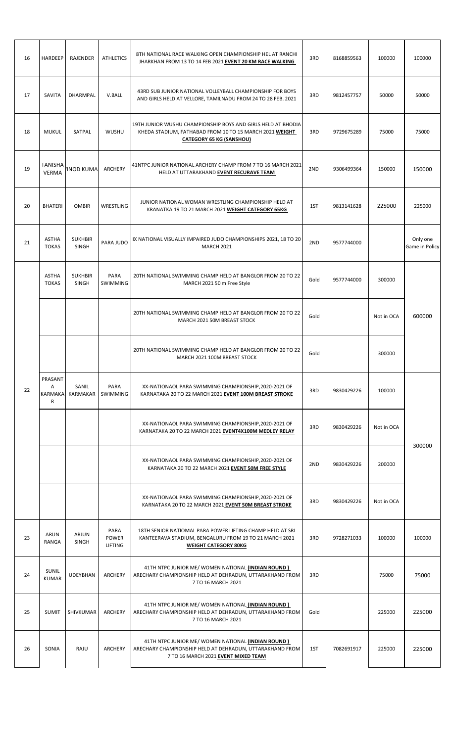| 16 | HARDEEP                                 | <b>RAJENDER</b>                | <b>ATHLETICS</b>                | 8TH NATIONAL RACE WALKING OPEN CHAMPIONSHIP HEL AT RANCHI<br>JHARKHAN FROM 13 TO 14 FEB 2021 EVENT 20 KM RACE WALKING                                      | 3RD  | 8168859563 | 100000     | 100000                     |
|----|-----------------------------------------|--------------------------------|---------------------------------|------------------------------------------------------------------------------------------------------------------------------------------------------------|------|------------|------------|----------------------------|
| 17 | SAVITA                                  | <b>DHARMPAL</b>                | V.BALL                          | 43RD SUB JUNIOR NATIONAL VOLLEYBALL CHAMPIONSHIP FOR BOYS<br>AND GIRLS HELD AT VELLORE, TAMILNADU FROM 24 TO 28 FEB. 2021                                  | 3RD  | 9812457757 | 50000      | 50000                      |
| 18 | <b>MUKUL</b>                            | SATPAL                         | WUSHU                           | 19TH JUNIOR WUSHU CHAMPIONSHIP BOYS AND GIRLS HELD AT BHODIA<br>KHEDA STADIUM, FATHABAD FROM 10 TO 15 MARCH 2021 WEIGHT<br><b>CATEGORY 65 KG (SANSHOU)</b> | 3RD  | 9729675289 | 75000      | 75000                      |
| 19 | TANISHA<br><b>VERMA</b>                 | 'INOD KUMA                     | ARCHERY                         | 41NTPC JUNIOR NATIONAL ARCHERY CHAMP FROM 7 TO 16 MARCH 2021<br>HELD AT UTTARAKHAND EVENT RECURAVE TEAM                                                    | 2ND  | 9306499364 | 150000     | 150000                     |
| 20 | <b>BHATERI</b>                          | <b>OMBIR</b>                   | WRESTLING                       | JUNIOR NATIONAL WOMAN WRESTLING CHAMPIONSHIP HELD AT<br>KRANATKA 19 TO 21 MARCH 2021 WEIGHT CATEGORY 65KG                                                  | 1ST  | 9813141628 | 225000     | 225000                     |
| 21 | <b>ASTHA</b><br><b>TOKAS</b>            | <b>SUKHBIR</b><br><b>SINGH</b> | PARA JUDO                       | IX NATIONAL VISUALLY IMPAIRED JUDO CHAMPIONSHIPS 2021, 18 TO 20<br><b>MARCH 2021</b>                                                                       | 2ND  | 9577744000 |            | Only one<br>Game in Policy |
|    | <b>ASTHA</b><br><b>TOKAS</b>            | <b>SUKHBIR</b><br>SINGH        | PARA<br><b>SWIMMING</b>         | 20TH NATIONAL SWIMMING CHAMP HELD AT BANGLOR FROM 20 TO 22<br>MARCH 2021 50 m Free Style                                                                   | Gold | 9577744000 | 300000     |                            |
|    |                                         |                                |                                 | 20TH NATIONAL SWIMMING CHAMP HELD AT BANGLOR FROM 20 TO 22<br>MARCH 2021 50M BREAST STOCK                                                                  | Gold |            | Not in OCA | 600000                     |
|    |                                         |                                |                                 | 20TH NATIONAL SWIMMING CHAMP HELD AT BANGLOR FROM 20 TO 22<br>MARCH 2021 100M BREAST STOCK                                                                 | Gold |            | 300000     |                            |
| 22 | PRASANT<br>Α<br>KARMAKA<br>$\mathsf{R}$ | SANIL<br>KARMAKAR              | PARA<br>SWIMMING                | XX-NATIONAOL PARA SWIMMING CHAMPIONSHIP, 2020-2021 OF<br>KARNATAKA 20 TO 22 MARCH 2021 EVENT 100M BREAST STROKE                                            | 3RD  | 9830429226 | 100000     |                            |
|    |                                         |                                |                                 | XX-NATIONAOL PARA SWIMMING CHAMPIONSHIP, 2020-2021 OF<br>KARNATAKA 20 TO 22 MARCH 2021 EVENT4X100M MEDLEY RELAY                                            | 3RD  | 9830429226 | Not in OCA |                            |
|    |                                         |                                |                                 | XX-NATIONAOL PARA SWIMMING CHAMPIONSHIP, 2020-2021 OF<br>KARNATAKA 20 TO 22 MARCH 2021 EVENT 50M FREE STYLE                                                | 2ND  | 9830429226 | 200000     | 300000                     |
|    |                                         |                                |                                 | XX-NATIONAOL PARA SWIMMING CHAMPIONSHIP, 2020-2021 OF<br>KARNATAKA 20 TO 22 MARCH 2021 EVENT 50M BREAST STROKE                                             | 3RD  | 9830429226 | Not in OCA |                            |
| 23 | ARUN<br>RANGA                           | ARJUN<br><b>SINGH</b>          | PARA<br><b>POWER</b><br>LIFTING | 18TH SENIOR NATIOMAL PARA POWER LIFTING CHAMP HELD AT SRI<br>KANTEERAVA STADIUM, BENGALURU FROM 19 TO 21 MARCH 2021<br><b>WEIGHT CATEGORY 80KG</b>         | 3RD  | 9728271033 | 100000     | 100000                     |
| 24 | SUNIL<br><b>KUMAR</b>                   | <b>UDEYBHAN</b>                | ARCHERY                         | 41TH NTPC JUNIOR ME/ WOMEN NATIONAL (INDIAN ROUND)<br>ARECHARY CHAMPIONSHIP HELD AT DEHRADUN, UTTARAKHAND FROM<br>7 TO 16 MARCH 2021                       | 3RD  |            | 75000      | 75000                      |
| 25 | <b>SUMIT</b>                            | SHIVKUMAR                      | ARCHERY                         | 41TH NTPC JUNIOR ME/ WOMEN NATIONAL (INDIAN ROUND)<br>ARECHARY CHAMPIONSHIP HELD AT DEHRADUN, UTTARAKHAND FROM<br>7 TO 16 MARCH 2021                       | Gold |            | 225000     | 225000                     |
| 26 | SONIA                                   | RAJU                           | ARCHERY                         | 41TH NTPC JUNIOR ME/ WOMEN NATIONAL (INDIAN ROUND)<br>ARECHARY CHAMPIONSHIP HELD AT DEHRADUN, UTTARAKHAND FROM<br>7 TO 16 MARCH 2021 EVENT MIXED TEAM      | 1ST  | 7082691917 | 225000     | 225000                     |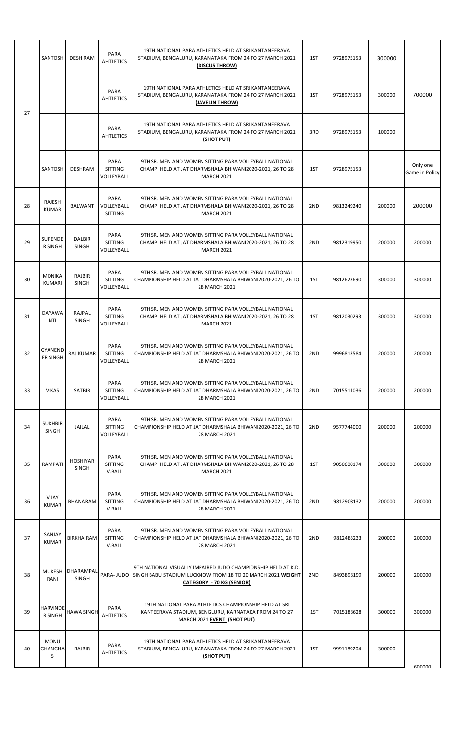|    | SANTOSH                            | <b>DESH RAM</b>               | PARA<br><b>AHTLETICS</b>             | 19TH NATIONAL PARA ATHLETICS HELD AT SRI KANTANEERAVA<br>STADIUM, BENGALURU, KARANATAKA FROM 24 TO 27 MARCH 2021<br>(DISCUS THROW)                                         | 1ST | 9728975153 | 300000 |                            |
|----|------------------------------------|-------------------------------|--------------------------------------|----------------------------------------------------------------------------------------------------------------------------------------------------------------------------|-----|------------|--------|----------------------------|
| 27 |                                    |                               | PARA<br><b>AHTLETICS</b>             | 19TH NATIONAL PARA ATHLETICS HELD AT SRI KANTANEERAVA<br>STADIUM, BENGALURU, KARANATAKA FROM 24 TO 27 MARCH 2021<br>(JAVELIN THROW)                                        | 1ST | 9728975153 | 300000 | 700000                     |
|    |                                    |                               | PARA<br><b>AHTLETICS</b>             | 19TH NATIONAL PARA ATHLETICS HELD AT SRI KANTANEERAVA<br>STADIUM, BENGALURU, KARANATAKA FROM 24 TO 27 MARCH 2021<br>(SHOT PUT)                                             | 3RD | 9728975153 | 100000 |                            |
|    | SANTOSH                            | DESHRAM                       | PARA<br><b>SITTING</b><br>VOLLEYBALL | 9TH SR. MEN AND WOMEN SITTING PARA VOLLEYBALL NATIONAL<br>CHAMP HELD AT JAT DHARMSHALA BHIWANI2020-2021, 26 TO 28<br><b>MARCH 2021</b>                                     | 1ST | 9728975153 |        | Only one<br>Game in Policy |
| 28 | RAJESH<br><b>KUMAR</b>             | BALWANT                       | PARA<br>VOLLEYBALL<br><b>SITTING</b> | 9TH SR. MEN AND WOMEN SITTING PARA VOLLEYBALL NATIONAL<br>CHAMP HELD AT JAT DHARMSHALA BHIWANI2020-2021, 26 TO 28<br><b>MARCH 2021</b>                                     | 2ND | 9813249240 | 200000 | 200000                     |
| 29 | SURENDE<br><b>R SINGH</b>          | <b>DALBIR</b><br><b>SINGH</b> | PARA<br><b>SITTING</b><br>VOLLEYBALL | 9TH SR. MEN AND WOMEN SITTING PARA VOLLEYBALL NATIONAL<br>CHAMP HELD AT JAT DHARMSHALA BHIWANI2020-2021, 26 TO 28<br><b>MARCH 2021</b>                                     | 2ND | 9812319950 | 200000 | 200000                     |
| 30 | <b>MONIKA</b><br><b>KUMARI</b>     | RAJBIR<br><b>SINGH</b>        | PARA<br><b>SITTING</b><br>VOLLEYBALL | 9TH SR. MEN AND WOMEN SITTING PARA VOLLEYBALL NATIONAL<br>CHAMPIONSHIP HELD AT JAT DHARMSHALA BHIWANI2020-2021, 26 TO<br>28 MARCH 2021                                     | 1ST | 9812623690 | 300000 | 300000                     |
| 31 | <b>DAYAWA</b><br><b>NTI</b>        | RAJPAL<br>SINGH               | PARA<br><b>SITTING</b><br>VOLLEYBALL | 9TH SR. MEN AND WOMEN SITTING PARA VOLLEYBALL NATIONAL<br>CHAMP HELD AT JAT DHARMSHALA BHIWANI2020-2021, 26 TO 28<br><b>MARCH 2021</b>                                     | 1ST | 9812030293 | 300000 | 300000                     |
| 32 | <b>GYANEND</b><br><b>ER SINGH</b>  | <b>RAJ KUMAR</b>              | PARA<br><b>SITTING</b><br>VOLLEYBALL | 9TH SR. MEN AND WOMEN SITTING PARA VOLLEYBALL NATIONAL<br>CHAMPIONSHIP HELD AT JAT DHARMSHALA BHIWANI2020-2021, 26 TO<br>28 MARCH 2021                                     | 2ND | 9996813584 | 200000 | 200000                     |
| 33 | <b>VIKAS</b>                       | <b>SATBIR</b>                 | PARA<br><b>SITTING</b><br>VOLLEYBALL | 9TH SR. MEN AND WOMEN SITTING PARA VOLLEYBALL NATIONAL<br>CHAMPIONSHIP HELD AT JAT DHARMSHALA BHIWANI2020-2021, 26 TO<br>28 MARCH 2021                                     | 2ND | 7015511036 | 200000 | 200000                     |
| 34 | <b>SUKHBIR</b><br>SINGH            | JAILAL                        | PARA<br><b>SITTING</b><br>VOLLEYBALL | 9TH SR. MEN AND WOMEN SITTING PARA VOLLEYBALL NATIONAL<br>CHAMPIONSHIP HELD AT JAT DHARMSHALA BHIWANI2020-2021, 26 TO<br>28 MARCH 2021                                     | 2ND | 9577744000 | 200000 | 200000                     |
| 35 | RAMPATI                            | <b>HOSHIYAR</b><br>SINGH      | PARA<br><b>SITTING</b><br>V.BALL     | 9TH SR. MEN AND WOMEN SITTING PARA VOLLEYBALL NATIONAL<br>CHAMP HELD AT JAT DHARMSHALA BHIWANI2020-2021, 26 TO 28<br><b>MARCH 2021</b>                                     | 1ST | 9050600174 | 300000 | 300000                     |
| 36 | <b>VIJAY</b><br><b>KUMAR</b>       | BHANARAM                      | PARA<br><b>SITTING</b><br>V.BALL     | 9TH SR. MEN AND WOMEN SITTING PARA VOLLEYBALL NATIONAL<br>CHAMPIONSHIP HELD AT JAT DHARMSHALA BHIWANI2020-2021, 26 TO<br>28 MARCH 2021                                     | 2ND | 9812908132 | 200000 | 200000                     |
| 37 | SANJAY<br><b>KUMAR</b>             | <b>BIRKHA RAM</b>             | PARA<br><b>SITTING</b><br>V.BALL     | 9TH SR. MEN AND WOMEN SITTING PARA VOLLEYBALL NATIONAL<br>CHAMPIONSHIP HELD AT JAT DHARMSHALA BHIWANI2020-2021, 26 TO<br>28 MARCH 2021                                     | 2ND | 9812483233 | 200000 | 200000                     |
| 38 | <b>MUKESH</b><br>RANI              | DHARAMPAL<br><b>SINGH</b>     |                                      | 9TH NATIONAL VISUALLY IMPAIRED JUDO CHAMPIONSHIP HELD AT K.D.<br>PARA- JUDO SINGH BABU STADIUM LUCKNOW FROM 18 TO 20 MARCH 2021 WEIGHT<br><b>CATEGORY - 70 KG (SENIOR)</b> | 2ND | 8493898199 | 200000 | 200000                     |
| 39 | <b>HARVINDE</b><br><b>R SINGH</b>  | <b>HAWA SINGH</b>             | PARA<br><b>AHTLETICS</b>             | 19TH NATIONAL PARA ATHLETICS CHAMPIONSHIP HELD AT SRI<br>KANTEERAVA STADIUM, BENGLURU, KARNATAKA FROM 24 TO 27<br>MARCH 2021 EVENT (SHOT PUT)                              | 1ST | 7015188628 | 300000 | 300000                     |
| 40 | <b>MONU</b><br><b>GHANGHA</b><br>S | RAJBIR                        | PARA<br><b>AHTLETICS</b>             | 19TH NATIONAL PARA ATHLETICS HELD AT SRI KANTANEERAVA<br>STADIUM, BENGALURU, KARANATAKA FROM 24 TO 27 MARCH 2021<br><u>(SHOT PUT)</u>                                      | 1ST | 9991189204 | 300000 | GOODOO                     |